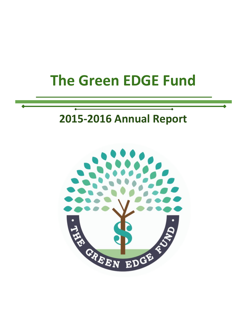# **The Green EDGE Fund**

# **2015-2016 Annual Report**

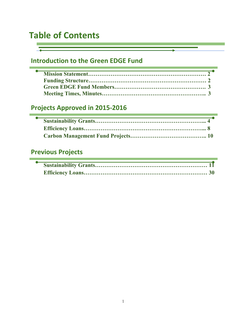# Table of Contents

п

# **Introduction to the Green EDGE Fund**

# **Projects Approved in 2015-2016**

# **Previous Projects**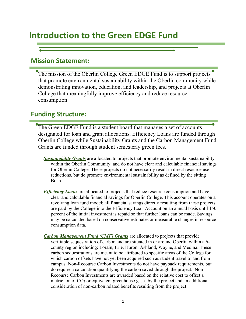# **Introduction to the Green EDGE Fund**

## **Mission Statement:**

The mission of the Oberlin College Green EDGE Fund is to support projects that promote environmental sustainability within the Oberlin community while demonstrating innovation, education, and leadership, and projects at Oberlin College that meaningfully improve efficiency and reduce resource consumption.

## **Funding Structure:**

The Green EDGE Fund is a student board that manages a set of accounts designated for loan and grant allocations. Efficiency Loans are funded through Oberlin College while Sustainability Grants and the Carbon Management Fund Grants are funded through student semesterly green fees.

- *Sustainability Grants* are allocated to projects that promote environmental sustainability within the Oberlin Community, and do not have clear and calculable financial savings for Oberlin College. These projects do not necessarily result in direct resource use reductions, but do promote environmental sustainability as defined by the sitting Board.
- *Efficiency Loans* are allocated to projects that reduce resource consumption and have clear and calculable financial savings for Oberlin College. This account operates on a revolving loan fund model; all financial savings directly resulting from these projects are paid by the College into the Efficiency Loan Account on an annual basis until 150 percent of the initial investment is repaid so that further loans can be made. Savings may be calculated based on conservative estimates or measurable changes in resource consumption data.
- *Carbon Management Fund (CMF) Grants* are allocated to projects that provide verifiable sequestration of carbon and are situated in or around Oberlin within a 6 county region including: Lorain, Erie, Huron, Ashland, Wayne, and Medina. These carbon sequestrations are meant to be attributed to specific areas of the College for which carbon offsets have not yet been acquired such as student travel to and from campus. Non-Recourse Carbon Investments do not have payback requirements, but do require a calculation quantifying the carbon saved through the project. Non-Recourse Carbon Investments are awarded based on the relative cost to offset a metric ton of  $CO<sub>2</sub>$  or equivalent greenhouse gases by the project and an additional consideration of non-carbon related benefits resulting from the project.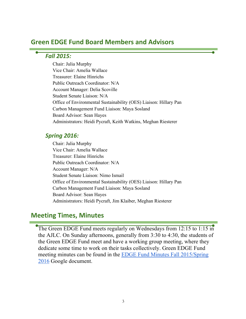## **Green EDGE Fund Board Members and Advisors**

## *Fall 2015:*

Chair: Julia Murphy Vice Chair: Amelia Wallace Treasurer: Elaine Hinrichs Public Outreach Coordinator: N/A Account Manager: Delia Scoville Student Senate Liaison: N/A Office of Environmental Sustainability (OES) Liaison: Hillary Pan Carbon Management Fund Liaison: Maya Sosland Board Advisor: Sean Hayes Administrators: Heidi Pycraft, Keith Watkins, Meghan Riesterer

## *Spring 2016:*

Chair: Julia Murphy Vice Chair: Amelia Wallace Treasurer: Elaine Hinrichs Public Outreach Coordinator: N/A Account Manager: N/A Student Senate Liaison: Nimo Ismail Office of Environmental Sustainability (OES) Liaison: Hillary Pan Carbon Management Fund Liaison: Maya Sosland Board Advisor: Sean Hayes Administrators: Heidi Pycraft, Jim Klaiber, Meghan Riesterer

## **Meeting Times, Minutes**

The Green EDGE Fund meets regularly on Wednesdays from 12:15 to 1:15 in the AJLC. On Sunday afternoons, generally from 3:30 to 4:30, the students of the Green EDGE Fund meet and have a working group meeting, where they dedicate some time to work on their tasks collectively. Green EDGE Fund meeting minutes can be found in the EDGE Fund Minutes Fall 2015/Spring 2016 Google document.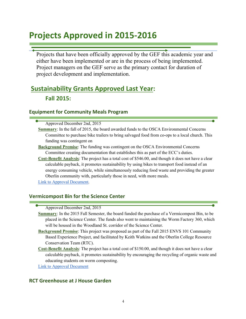# **Projects Approved in 2015-2016**

Projects that have been officially approved by the GEF this academic year and either have been implemented or are in the process of being implemented. Project managers on the GEF serve as the primary contact for duration of project development and implementation.

# **Sustainability Grants Approved Last Year: Fall 2015:**

## **Equipment for Community Meals Program**

Approved December 2nd, 2015

- **Summary**: In the fall of 2015, the board awarded funds to the OSCA Environmental Concerns Committee to purchase bike trailers to bring salvaged food from co-ops to a local church. This funding was contingent on
- **Background Premise**: The funding was contingent on the OSCA Environmental Concerns Committee creating documentation that establishes this as part of the ECC's duties.
- **Cost-Benefit Analysis**: The project has a total cost of \$546.00, and though it does not have a clear calculable payback, it promotes sustainability by using bikes to transport food instead of an energy consuming vehicle, while simultaneously reducing food waste and providing the greater Oberlin community with, particularly those in need, with more meals.

Link to Approval Document.

## **Vermicompost Bin for the Science Center**

Approved December 2nd, 2015

- **Summary**: In the 2015 Fall Semester, the board funded the purchase of a Vermicompost Bin, to be placed in the Science Center. The funds also went to maintaining the Worm Factory 360, which will be housed in the Woodland St. corridor of the Science Center.
- **Background Premise**: This project was proposed as part of the Fall 2015 ENVS 101 Community Based Experience Project, and facilitated by Keith Watkins and the Oberlin College Resource Conservation Team (RTC).
- **Cost-Benefit Analysis**: The project has a total cost of \$150.00, and though it does not have a clear calculable payback, it promotes sustainability by encouraging the recycling of organic waste and educating students on worm composting.

Link to Approval Document

## **RCT Greenhouse at J House Garden**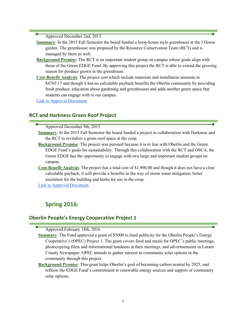Approved December 2nd, 2015

- **Summary**: In the 2015 Fall Semester the board funded a hoop-house style greenhouse at the J House garden. The greenhouse was proposed by the Resource Conservation Team (RCT) and is managed by them as well.
- **Background Premise**: The RCT is an important student group on campus whose goals align with those of the Green EDGE Fund. By approving this project the RCT is able to extend the growing season for produce grown in the greenhouse.
- **Cost-Benefit Analysis**: The project cost which include materials and installation amounts to \$4765.17 and though it has no calculable payback benefits the Oberlin community by providing fresh produce, education about gardening and greenhouses and adds another green space that students can engage with to our campus.

Link to Approval Document.

## **RCT and Harkness Green Roof Project**

Approved December 9th, 2015

- **Summary**: In the 2015 Fall Semester the board funded a project in collaboration with Harkness and the RCT to revitalize a green roof space at the coop.
- **Background Premise**: The project was pursued because it is in line with Oberlin and the Green EDGE Fund's goals for sustainability. Through this collaboration with the RCT and OSCA, the Green EDGE has the opportunity to engage with two large and important student groups on campus.
- **Cost-Benefit Analysis**: The project has a total cost of \$1,900.00 and though it does not have a clear calculable payback, it will provide a benefits in the way of storm water mitigation, better insulation for the building and herbs for use in the coop.

Link to Approval Document.

## **Spring 2016:**

## **Oberlin People's Energy Cooperative Project 1**

Approved February 18th, 2016

- **Summary**: The Fund approved a grant of \$5000 to fund publicity for the Oberlin People's Energy Cooperative's (OPEC) Project 1. The grant covers food and meals for OPEC's public meetings, photocopying filers and informational handouts at their meetings, and advertisements in Lorain County Newspaper. OPEC intends to gather interest in community solar options in the community through this project.
- **Background Premise**: This grant helps Oberlin's goal of becoming carbon neutral by 2025, and reflects the EDGE Fund's commitment to renewable energy sources and support of community solar options.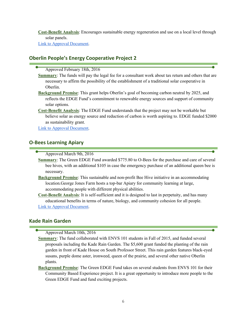**Cost-Benefit Analysis**: Encourages sustainable energy regeneration and use on a local level through solar panels.

Link to Approval Document.

## **Oberlin People's Energy Cooperative Project 2**

Approved February 18th, 2016

- **Summary**: The funds will pay the legal fee for a consultant work about tax return and others that are necessary to affirm the possibility of the establishment of a traditional solar cooperative in Oberlin.
- **Background Premise**: This grant helps Oberlin's goal of becoming carbon neutral by 2025, and reflects the EDGE Fund's commitment to renewable energy sources and support of community solar options.
- **Cost-Benefit Analysis**: The EDGE Fund understands that the project may not be workable but believe solar as energy source and reduction of carbon is worth aspiring to. EDGE funded \$2000 as sustainability grant.

Link to Approval Document.

## **O-Bees Learning Apiary**

Approved March 9th, 2016

- **Summary**: The Green EDGE Fund awarded \$775.80 to O-Bees for the purchase and care of several bee hives, with an additional \$105 in case the emergency purchase of an additional queen bee is necessary.
- **Background Premise**: This sustainable and non-profit Bee Hive initiative in an accommodating location.George Jones Farm hosts a top-bar Apiary for community learning at large, accommodating people with different physical abilities.
- **Cost-Benefit Analysis**: It is self-sufficient and it is designed to last in perpetuity, and has many educational benefits in terms of nature, biology, and community cohesion for all people. Link to Approval Document.

## **Kade Rain Garden**

- Approved March 10th, 2016
- **Summary**: The fund collaborated with ENVS 101 students in Fall of 2015, and funded several proposals including the Kade Rain Garden. The \$5,600 grant funded the planting of the rain garden in front of Kade House on South Professor Street. This rain garden features black-eyed susans, purple dome aster, ironweed, queen of the prairie, and several other native Oberlin plants.
- **Background Premise**: The Green EDGE Fund takes on several students from ENVS 101 for their Community Based Experience project. It is a great opportunity to introduce more people to the Green EDGE Fund and fund exciting projects.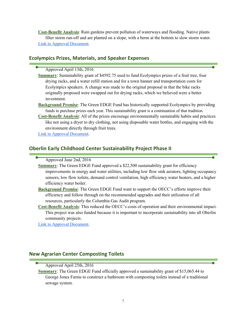**Cost-Benefit Analysis**: Rain gardens prevent pollution of waterways and flooding. Native plants filter storm run-off and are planted on a slope, with a berm at the bottom to slow storm water. Link to Approval Document.

## **Ecolympics Prizes, Materials, and Speaker Expenses**

#### Approved April 13th, 2016

- **Summary**: Sustainability grant of \$4592.75 used to fund Ecolympics prizes of a fruit tree, four drying racks, and a water refill station and for a town banner and transportation costs for Ecolympics speakers. A change was made to the original proposal in that the bike racks originally proposed were swapped out for drying racks, which we believed were a better investment.
- **Background Premise**: The Green EDGE Fund has historically supported Ecolympics by providing funds to purchase prizes each year. This sustainability grant is a continuation of that tradition.
- **Cost-Benefit Analysis**: All of the prizes encourage environmentally sustainable habits and practices like not using a dryer to dry clothing, not using disposable water bottles, and engaging with the environment directly through fruit trees.

Link to Approval Document.

## **Oberlin Early Childhood Center Sustainability Project Phase II**

Approved June 2nd, 2016

- **Summary:** The Green EDGE Fund approved a \$22,500 sustainability grant for efficiency improvements in energy and water utilities, including low flow sink aerators, lighting occupancy sensors, low flow toilets, demand control ventilation, high efficiency water heaters, and a higher efficiency water boiler.
- **Background Premise**: The Green EDGE Fund want to support the OECC's efforts improve their efficiency and follow through on the recommended upgrades and their utilization of all resources, particularly the Columbia Gas Audit program.
- **Cost-Benefit Analysis**: This reduced the OECC's costs of operation and their environmental impact. This project was also funded because it is important to incorporate sustainability into all Oberlin community projects.

Link to Approval Document.

## **New Agrarian Center Composting Toilets**

#### Approved April 25th, 2016

**Summary**: The Green EDGE Fund officially approved a sustainability grant of \$15,065.44 to George Jones Farms to construct a bathroom with composting toilets instead of a traditional sewage system.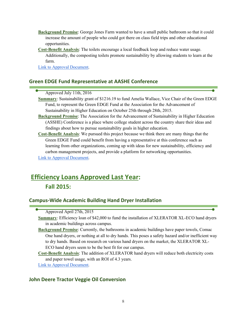- **Background Premise**: George Jones Farm wanted to have a small public bathroom so that it could increase the amount of people who could got there on class field trips and other educational opportunities.
- **Cost-Benefit Analysis**: The toilets encourage a local feedback loop and reduce water usage. Additionally, the composting toilets promote sustainability by allowing students to learn at the farm.

Link to Approval Document.

## **Green EDGE Fund Representative at AASHE Conference**

## Approved July 11th, 2016

- **Summary**: Sustainability grant of \$1216.19 to fund Amelia Wallace, Vice Chair of the Green EDGE Fund, to represent the Green EDGE Fund at the Association for the Advancement of Sustainability in Higher Education on October 25th through 28th, 2015.
- **Background Premise**: The Association for the Advancement of Sustainability in Higher Education (ASSHE) Conference is a place where college student across the country share their ideas and findings about how to pursue sustainability goals in higher education.
- **Cost-Benefit Analysis**: We pursued this project because we think there are many things that the Green EDGE Fund could benefit from having a representative at this conference such as learning from other organizations, coming up with ideas for new sustainability, efficiency and carbon management projects, and provide a platform for networking opportunities. Link to Approval Document.

# **Efficiency Loans Approved Last Year: Fall 2015:**

## **Campus-Wide Academic Building Hand Dryer Installation**

- **Summary**: Efficiency loan of \$42,000 to fund the installation of XLERATOR XL-ECO hand dryers in academic buildings across campus.
- **Background Premise**: Currently, the bathrooms in academic buildings have paper towels, Comac One hand dryers, or nothing at all to dry hands. This poses a safety hazard and/or inefficient way to dry hands. Based on research on various hand dryers on the market, the XLERATOR XL-ECO hand dryers seem to be the best fit for our campus.
- **Cost-Benefit Analysis**: The addition of XLERATOR hand dryers will reduce both electricity costs and paper towel usage, with an ROI of 4.3 years.
- Link to Approval Document.

## **John Deere Tractor Veggie Oil Conversion**

Approved April 27th, 2015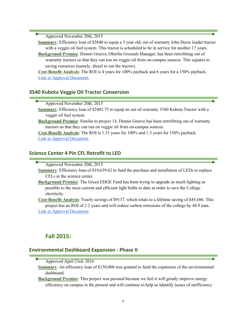Approved November 20th, 2015

**Summary**: Efficiency loan of \$3840 to equip a 3 year old, out of warranty John Deere loader tractor with a veggie oil fuel system. This tractor is scheduled to be in service for another 17 years.

**Background Premise**: Dennis Greeve, Oberlin Grounds Manager, has been retrofitting out of warranty tractors so that they can run on veggie oil from on-campus sources. This equates to saving resources (namely, diesel to run the tractor).

**Cost-Benefit Analysis**: The ROI is 4 years for 100% payback and 6 years for a 150% payback. Link to Approval Document.

## **3540 Kubota Veggie Oil Tractor Conversion**

Approved November 20th, 2015

- **Summary**: Efficiency loan of \$2402.75 to equip an out-of-warranty 3540 Kubota Tractor with a veggie oil fuel system.
- **Background Premise**: Similar to project 14, Dennis Greeve has been retrofitting out of warranty tractors so that they can run on veggie oil from on-campus sources.

**Cost-Benefit Analysis**: The ROI is 1.33 years for 100% and 1.5 years for 150% payback. Link to Approval Document.

## **Science Center 4 Pin CFL Retrofit to LED**

Approved November 20th, 2015

**Summary**: Efficiency loan of \$19,639.62 to fund the purchase and installation of LEDs to replace CFLs in the science center.

**Background Premise**: The Green EDGE Fund has been trying to upgrade as much lighting as possible to the most current and efficient light bulbs to date in order to save the College electricity.

**Cost-Benefit Analysis**: Yearly savings of \$9137, which totals to a lifetime saving of \$45,686. This project has an ROI of 2.2 years and will reduce carbon emissions of the college by 48.9 tons. Link to Approval Document.

## **Fall 2015:**

## **Environmental Dashboard Expansion - Phase II**

Approved April 23rd, 2016

- **Summary**: An efficiency loan of \$150,000 was granted to fund the expansion of the environmental dashboard.
- **Background Premise**: This project was pursued because we feel it will greatly improve energy efficiency on campus in the present and will continue to help us identify issues of inefficiency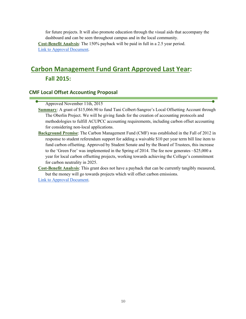for future projects. It will also promote education through the visual aids that accompany the dashboard and can be seen throughout campus and in the local community. **Cost-Benefit Analysis**: The 150% payback will be paid in full in a 2.5 year period. Link to Approval Document.

# **Carbon Management Fund Grant Approved Last Year: Fall 2015:**

## **CMF Local Offset Accounting Proposal**

Approved November 11th, 2015

- **Summary**: A grant of \$15,066.90 to fund Tani Colbert-Sangree's Local Offsetting Account through The Oberlin Project. We will be giving funds for the creation of accounting protocols and methodologies to fulfill ACUPCC accounting requirements, including carbon offset accounting for considering non-local applications.
- **Background Premise**: The Carbon Management Fund (CMF) was established in the Fall of 2012 in response to student referendum support for adding a waivable \$10 per year term bill line item to fund carbon offsetting. Approved by Student Senate and by the Board of Trustees, this increase to the 'Green Fee' was implemented in the Spring of 2014. The fee now generates ~\$25,000 a year for local carbon offsetting projects, working towards achieving the College's commitment for carbon neutrality in 2025.

**Cost-Benefit Analysis**: This grant does not have a payback that can be currently tangibly measured, but the money will go towards projects which will offset carbon emissions.

Link to Approval Document.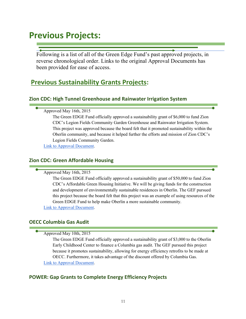# **Previous Projects:**

Following is a list of all of the Green Edge Fund's past approved projects, in reverse chronological order. Links to the original Approval Documents has been provided for ease of access.

## **Previous Sustainability Grants Projects:**

## **Zion CDC: High Tunnel Greenhouse and Rainwater Irrigation System**

## Approved May 16th, 2015

The Green EDGE Fund officially approved a sustainability grant of \$6,000 to fund Zion CDC's Legion Fields Community Garden Greenhouse and Rainwater Irrigation System. This project was approved because the board felt that it promoted sustainability within the Oberlin community, and because it helped further the efforts and mission of Zion CDC's Legion Fields Community Garden.

Link to Approval Document.

## **Zion CDC: Green Affordable Housing**

Approved May 16th, 2015

The Green EDGE Fund officially approved a sustainability grant of \$50,000 to fund Zion CDC's Affordable Green Housing Initiative. We will be giving funds for the construction and development of environmentally sustainable residences in Oberlin. The GEF pursued this project because the board felt that this project was an example of using resources of the Green EDGE Fund to help make Oberlin a more sustainable community. Link to Approval Document.

## **OECC Columbia Gas Audit**

Approved May 10th, 2015

The Green EDGE Fund officially approved a sustainability grant of \$3,000 to the Oberlin Early Childhood Center to finance a Columbia gas audit. The GEF pursued this project because it promotes sustainability, allowing for energy efficiency retrofits to be made at OECC. Furthermore, it takes advantage of the discount offered by Columbia Gas. Link to Approval Document.

## **POWER: Gap Grants to Complete Energy Efficiency Projects**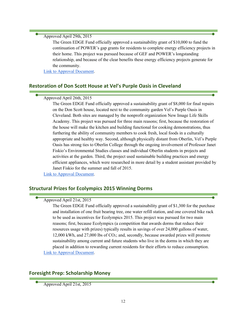#### Approved April 29th, 2015

The Green EDGE Fund officially approved a sustainability grant of \$10,000 to fund the continuation of POWER's gap grants for residents to complete energy efficiency projects in their home. This project was pursued because of GEF and POWER's longstanding relationship, and because of the clear benefits these energy efficiency projects generate for the community.

Link to Approval Document.

## **Restoration of Don Scott House at Vel's Purple Oasis in Cleveland**

## Approved April 26th, 2015

The Green EDGE Fund officially approved a sustainability grant of \$8,000 for final repairs on the Don Scott house, located next to the community garden Vel's Purple Oasis in Cleveland. Both sites are managed by the nonprofit organization New Image Life Skills Academy. This project was pursued for three main reasons; first, because the restoration of the house will make the kitchen and building functional for cooking demonstrations, thus furthering the ability of community members to cook fresh, local foods in a culturally appropriate and healthy way. Second, although physically distant from Oberlin, Vel's Purple Oasis has strong ties to Oberlin College through the ongoing involvement of Professor Janet Fiskio's Environmental Studies classes and individual Oberlin students in projects and activities at the garden. Third, the project used sustainable building practices and energy efficient appliances, which were researched in more detail by a student assistant provided by Janet Fiskio for the summer and fall of 2015.

Link to Approval Document.

## **Structural Prizes for Ecolympics 2015 Winning Dorms**

## Approved April 21st, 2015

The Green EDGE Fund officially approved a sustainability grant of \$1,300 for the purchase and installation of one fruit bearing tree, one water refill station, and one covered bike rack to be used as incentives for Ecolympics 2015. This project was pursued for two main reasons; first, because Ecolympics (a competition that awards dorms that reduce their resources usage with prizes) typically results in savings of over 24,000 gallons of water, 12,000 kWh, and 27,000 lbs of CO2; and, secondly, because awarded prizes will promote sustainability among current and future students who live in the dorms in which they are placed in addition to rewarding current residents for their efforts to reduce consumption. Link to Approval Document.

## **Foresight Prep: Scholarship Money**

Approved April 21st, 2015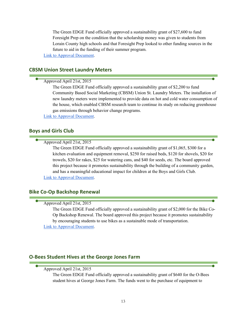The Green EDGE Fund officially approved a sustainability grant of \$27,600 to fund Foresight Prep on the condition that the scholarship money was given to students from Lorain County high schools and that Foresight Prep looked to other funding sources in the future to aid in the funding of their summer program.

Link to Approval Document.

## **CBSM Union Street Laundry Meters**

## Approved April 21st, 2015

The Green EDGE Fund officially approved a sustainability grant of \$2,200 to fund Community Based Social Marketing (CBSM) Union St. Laundry Meters. The installation of new laundry meters were implemented to provide data on hot and cold water consumption of the house, which enabled CBSM research team to continue its study on reducing greenhouse gas emissions through behavior change programs.

Link to Approval Document.

## **Boys and Girls Club**

Approved April 21st, 2015

The Green EDGE Fund officially approved a sustainability grant of \$1,065, \$300 for a kitchen evaluation and equipment removal, \$250 for raised beds, \$120 for shovels, \$20 for trowels, \$20 for rakes, \$25 for watering cans, and \$40 for seeds, etc. The board approved this project because it promotes sustainability through the building of a community garden, and has a meaningful educational impact for children at the Boys and Girls Club. Link to Approval Document.

## **Bike Co-Op Backshop Renewal**

#### Approved April 21st, 2015

The Green EDGE Fund officially approved a sustainability grant of \$2,000 for the Bike Co-Op Backshop Renewal. The board approved this project because it promotes sustainability by encouraging students to use bikes as a sustainable mode of transportation. Link to Approval Document.

## **O-Bees Student Hives at the George Jones Farm**

## Approved April 21st, 2015

The Green EDGE Fund officially approved a sustainability grant of \$640 for the O-Bees student hives at George Jones Farm. The funds went to the purchase of equipment to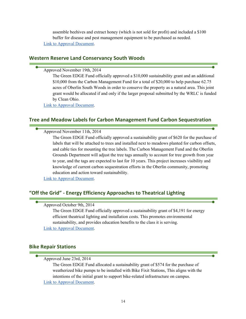assemble beehives and extract honey (which is not sold for profit) and included a \$100 buffer for disease and pest management equipment to be purchased as needed. Link to Approval Document.

## **Western Reserve Land Conservancy South Woods**

Approved November 19th, 2014

The Green EDGE Fund officially approved a \$10,000 sustainability grant and an additional \$10,000 from the Carbon Management Fund for a total of \$20,000 to help purchase 62.75 acres of Oberlin South Woods in order to conserve the property as a natural area. This joint grant would be allocated if and only if the larger proposal submitted by the WRLC is funded by Clean Ohio.

Link to Approval Document.

## **Tree and Meadow Labels for Carbon Management Fund Carbon Sequestration**

Approved November 11th, 2014

The Green EDGE Fund officially approved a sustainability grant of \$620 for the purchase of labels that will be attached to trees and installed next to meadows planted for carbon offsets, and cable ties for mounting the tree labels. The Carbon Management Fund and the Oberlin Grounds Department will adjust the tree tags annually to account for tree growth from year to year, and the tags are expected to last for 10 years. This project increases visibility and knowledge of current carbon sequestration efforts in the Oberlin community, promoting education and action toward sustainability.

Link to Approval Document.

## **"Off the Grid" - Energy Efficiency Approaches to Theatrical Lighting**

Approved October 9th, 2014

The Green EDGE Fund officially approved a sustainability grant of \$4,191 for energy efficient theatrical lighting and installation costs. This promotes environmental sustainability, and provides education benefits to the class it is serving. Link to Approval Document.

## **Bike Repair Stations**

Approved June 23rd, 2014

The Green EDGE Fund allocated a sustainability grant of \$574 for the purchase of weatherized bike pumps to be installed with Bike Fixit Stations, This aligns with the intentions of the initial grant to support bike-related infrastructure on campus. Link to Approval Document.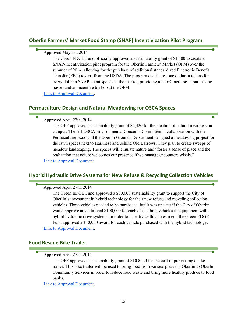## **Oberlin Farmers' Market Food Stamp (SNAP) Incentivization Pilot Program**

## Approved May 1st, 2014

The Green EDGE Fund officially approved a sustainability grant of \$1,300 to create a SNAP-incentivization pilot program for the Oberlin Farmers' Market (OFM) over the summer of 2014, allowing for the purchase of additional standardized Electronic Benefit Transfer (EBT) tokens from the USDA. The program distributes one dollar in tokens for every dollar a SNAP client spends at the market, providing a 100% increase in purchasing power and an incentive to shop at the OFM.

Link to Approval Document.

## **Permaculture Design and Natural Meadowing for OSCA Spaces**

Approved April 27th, 2014

The GEF approved a sustainability grant of \$5,420 for the creation of natural meadows on campus. The All-OSCA Environmental Concerns Committee in collaboration with the Permaculture Exco and the Oberlin Grounds Department designed a meadowing project for the lawn spaces next to Harkness and behind Old Barrows. They plan to create sweeps of meadow landscaping. The spaces will emulate nature and "foster a sense of place and the realization that nature welcomes our presence if we manage encounters wisely." Link to Approval Document.

## **Hybrid Hydraulic Drive Systems for New Refuse & Recycling Collection Vehicles**

## Approved April 27th, 2014

The Green EDGE Fund approved a \$30,000 sustainability grant to support the City of Oberlin's investment in hybrid technology for their new refuse and recycling collection vehicles. Three vehicles needed to be purchased, but it was unclear if the City of Oberlin would approve an additional \$100,000 for each of the three vehicles to equip them with hybrid hydraulic drive systems. In order to incentivize this investment, the Green EDGE Fund approved a \$10,000 award for each vehicle purchased with the hybrid technology. Link to Approval Document.

## **Food Rescue Bike Trailer**

Approved April 27th, 2014

The GEF approved a sustainability grant of \$1030.20 for the cost of purchasing a bike trailer. This bike trailer will be used to bring food from various places in Oberlin to Oberlin Community Services in order to reduce food waste and bring more healthy produce to food banks.

Link to Approval Document.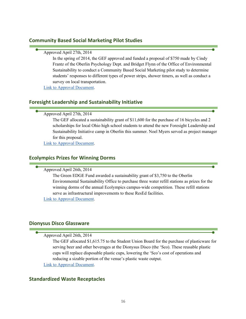## **Community Based Social Marketing Pilot Studies**

| Approved April 27th, 2014                      |
|------------------------------------------------|
| In the spring of 2014, the GEF approved and fu |

Inded a proposal of \$750 made by Cindy Frantz of the Oberlin Psychology Dept. and Bridget Flynn of the Office of Environmental Sustainability to conduct a Community Based Social Marketing pilot study to determine students' responses to different types of power strips, shower timers, as well as conduct a survey on local transportation.

Link to Approval Document.

## **Foresight Leadership and Sustainability Initiative**

Approved April 27th, 2014

The GEF allocated a sustainability grant of \$11,600 for the purchase of 16 bicycles and 2 scholarships for local Ohio high school students to attend the new Foresight Leadership and Sustainability Initiative camp in Oberlin this summer. Noel Myers served as project manager for this proposal.

Link to Approval Document.

## **Ecolympics Prizes for Winning Dorms**

Approved April 26th, 2014

The Green EDGE Fund awarded a sustainability grant of \$3,750 to the Oberlin Environmental Sustainability Office to purchase three water refill stations as prizes for the winning dorms of the annual Ecolympics campus-wide competition. These refill stations serve as infrastructural improvements to these ResEd facilities.

Link to Approval Document.

## **Dionysus Disco Glassware**

Approved April 26th, 2014

The GEF allocated \$1,615.75 to the Student Union Board for the purchase of plasticware for serving beer and other beverages at the Dionysus Disco (the 'Sco). These reusable plastic cups will replace disposable plastic cups, lowering the 'Sco's cost of operations and reducing a sizable portion of the venue's plastic waste output.

Link to Approval Document.

## **Standardized Waste Receptacles**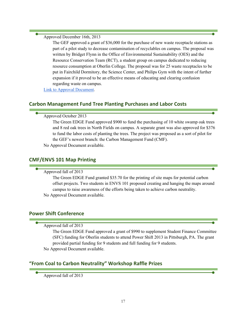Approved December 16th, 2013

The GEF approved a grant of \$36,000 for the purchase of new waste receptacle stations as part of a pilot study to decrease contamination of recyclables on campus. The proposal was written by Bridget Flynn in the Office of Environmental Sustainability (OES) and the Resource Conservation Team (RCT), a student group on campus dedicated to reducing resource consumption at Oberlin College. The proposal was for 25 waste receptacles to be put in Fairchild Dormitory, the Science Center, and Philips Gym with the intent of further expansion if it proved to be an effective means of educating and clearing confusion regarding waste on campus.

Link to Approval Document.

## **Carbon Management Fund Tree Planting Purchases and Labor Costs**

#### Approved October 2013

The Green EDGE Fund approved \$900 to fund the purchasing of 10 white swamp oak trees and 8 red oak trees in North Fields on campus. A separate grant was also approved for \$376 to fund the labor costs of planting the trees. The project was proposed as a sort of pilot for the GEF's newest branch: the Carbon Management Fund (CMF).

No Approval Document available.

## **CMF/ENVS 101 Map Printing**

#### Approved fall of 2013

The Green EDGE Fund granted \$35.70 for the printing of site maps for potential carbon offset projects. Two students in ENVS 101 proposed creating and hanging the maps around campus to raise awareness of the efforts being taken to achieve carbon neutrality. No Approval Document available.

## **Power Shift Conference**

Approved fall of 2013

The Green EDGE Fund approved a grant of \$990 to supplement Student Finance Committee (SFC) funding for Oberlin students to attend Power Shift 2013 in Pittsburgh, PA. The grant provided partial funding for 9 students and full funding for 9 students. No Approval Document available.

## **"From Coal to Carbon Neutrality" Workshop Raffle Prizes**

Approved fall of 2013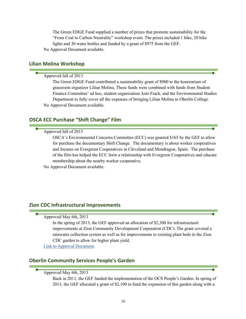The Green EDGE Fund supplied a number of prizes that promote sustainability for the "From Coal to Carbon Neutrality" workshop event. The prizes included 1 bike, 20 bike lights and 30 water bottles and funded by a grant of \$975 from the GEF. No Approval Document available.

#### **Lilian Molina Workshop**

#### Approved fall of 2013

The Green EDGE Fund contributed a sustainability grant of \$900 to the honorarium of grassroots organizer Lilian Molina. These funds were combined with funds from Student Finance Committee' ad hoc, student organization Anti-Frack, and the Environmental Studies Department to fully cover all the expenses of bringing Lilian Molina to Oberlin College. No Approval Document available.

## **OSCA ECC Purchase "Shift Change" Film**

#### Approved fall of 2013

OSCA's Environmental Concerns Committee (ECC) was granted \$165 by the GEF to allow for purchase the documentary Shift Change. The documentary is about worker cooperatives and focuses on Evergreen Cooperatives in Cleveland and Mondragon, Spain. The purchase of the film has helped the ECC form a relationship with Evergreen Cooperatives and educate membership about the nearby worker cooperative.

No Approval Document available.

## **Zion CDC Infrastructural Improvements**

## Approved May 6th, 2013

In the spring of 2013, the GEF approved an allocation of \$2,300 for infrastructural improvements at Zion Community Development Corporation (CDC). The grant covered a rainwater collection system as well as for improvements to existing plant beds in the Zion CDC garden to allow for higher plant yield.

Link to Approval Document.

## **Oberlin Community Services People's Garden**

Approved May 6th, 2013

Back in 2011, the GEF funded the implementation of the OCS People's Garden. In spring of 2013, the GEF allocated a grant of \$2,100 to fund the expansion of this garden along with a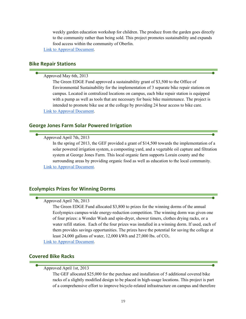weekly garden education workshop for children. The produce from the garden goes directly to the community rather than being sold. This project promotes sustainability and expands food access within the community of Oberlin.

Link to Approval Document.

#### **Bike Repair Stations**

Approved May 6th, 2013

The Green EDGE Fund approved a sustainability grant of \$3,500 to the Office of Environmental Sustainability for the implementation of 3 separate bike repair stations on campus. Located in centralized locations on campus, each bike repair station is equipped with a pump as well as tools that are necessary for basic bike maintenance. The project is intended to promote bike use at the college by providing 24 hour access to bike care. Link to Approval Document.

## **George Jones Farm Solar Powered Irrigation**

Approved April 7th, 2013

In the spring of 2013, the GEF provided a grant of \$14,500 towards the implementation of a solar powered irrigation system, a composting yard, and a vegetable oil capture and filtration system at George Jones Farm. This local organic farm supports Lorain county and the surrounding areas by providing organic food as well as education to the local community. Link to Approval Document.

#### **Ecolympics Prizes for Winning Dorms**

## Approved April 7th, 2013

The Green EDGE Fund allocated \$3,800 to prizes for the winning dorms of the annual Ecolympics campus-wide energy-reduction competition. The winning dorm was given one of four prizes: a Wonder Wash and spin-dryer, shower timers, clothes drying racks, or a water refill station. Each of the four prizes was installed in a winning dorm. If used, each of them provides savings opportunities. The prizes have the potential for saving the college at least 24,000 gallons of water,  $12,000$  kWh and  $27,000$  lbs. of CO<sub>2</sub>.

Link to Approval Document.

## **Covered Bike Racks**

Approved April 1st, 2013

The GEF allocated \$25,000 for the purchase and installation of 5 additional covered bike racks of a slightly modified design to be placed in high-usage locations. This project is part of a comprehensive effort to improve bicycle-related infrastructure on campus and therefore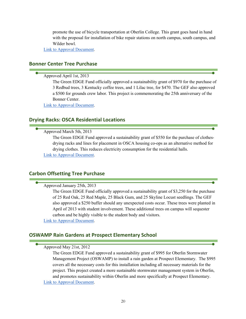promote the use of bicycle transportation at Oberlin College. This grant goes hand in hand with the proposal for installation of bike repair stations on north campus, south campus, and Wilder bowl.

Link to Approval Document.

## **Bonner Center Tree Purchase**

## Approved April 1st, 2013

The Green EDGE Fund officially approved a sustainability grant of \$970 for the purchase of 3 Redbud trees, 3 Kentucky coffee trees, and 1 Lilac tree, for \$470. The GEF also approved a \$500 for grounds crew labor. This project is commemorating the 25th anniversary of the Bonner Center.

Link to Approval Document.

## **Drying Racks: OSCA Residential Locations**

## Approved March 5th, 2013

The Green EDGE Fund approved a sustainability grant of \$550 for the purchase of clothesdrying racks and lines for placement in OSCA housing co-ops as an alternative method for drying clothes. This reduces electricity consumption for the residential halls. Link to Approval Document.

## **Carbon Offsetting Tree Purchase**

#### Approved January 25th, 2013

The Green EDGE Fund officially approved a sustainability grant of \$3,250 for the purchase of 25 Red Oak, 25 Red Maple, 25 Black Gum, and 25 Skyline Locust seedlings. The GEF also approved a \$250 buffer should any unexpected costs occur. These trees were planted in April of 2013 with student involvement. These additional trees on campus will sequester carbon and be highly visible to the student body and visitors.

Link to Approval Document.

## **OSWAMP Rain Gardens at Prospect Elementary School**

#### Approved May 21st, 2012

The Green EDGE Fund approved a sustainability grant of \$995 for Oberlin Stormwater Management Project (OSWAMP) to install a rain garden at Prospect Elementary. The \$995 covers all the necessary costs for this installation including all necessary materials for the project. This project created a more sustainable stormwater management system in Oberlin, and promotes sustainability within Oberlin and more specifically at Prospect Elementary. Link to Approval Document.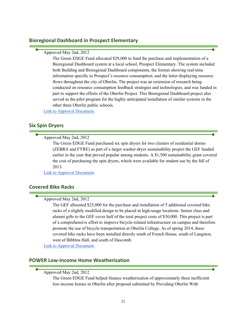## **Bioregional Dashboard in Prospect Elementary**

Approved May 2nd, 2012

The Green EDGE Fund allocated \$29,000 to fund the purchase and implementation of a Bioregional Dashboard system at a local school, Prospect Elementary. The system included both Building and Bioregional Dashboard components, the former showing real-time information specific to Prospect's resource consumption, and the latter displaying resource flows throughout the city of Oberlin. The project was an extension of research being conducted on resource consumption feedback strategies and technologies, and was funded in part to support the efforts of the Oberlin Project. This Bioregional Dashboard project also served as the pilot program for the highly anticipated installation of similar systems in the other three Oberlin public schools.

Link to Approval Document.

#### **Six Spin Dryers**

Approved May 2nd, 2012

The Green EDGE Fund purchased six spin dryers for two clusters of residential dorms (ZEBRA and FYRE) as part of a larger washer-dryer sustainability project the GEF funded earlier in the year that proved popular among students. A \$1,500 sustainability grant covered the cost of purchasing the spin dryers, which were available for student use by the fall of 2013.

Link to Approval Document.

## **Covered Bike Racks**

Approved May 2nd, 2012

The GEF allocated \$25,000 for the purchase and installation of 5 additional covered bike racks of a slightly modified design to be placed in high-usage locations. Senior class and alumni gifts to the GEF cover half of the total project costs of \$30,000. This project is part of a comprehensive effort to improve bicycle-related infrastructure on campus and therefore promote the use of bicycle transportation at Oberlin College. As of spring 2014, these covered bike racks have been installed directly south of French House, south of Langston, west of Bibbins Hall, and south of Dascomb.

Link to Approval Document.

## **POWER Low-Income Home Weatherization**

Approved May 2nd, 2012

The Green EDGE Fund helped finance weatherization of approximately three inefficient low-income homes in Oberlin after proposal submitted by Providing Oberlin With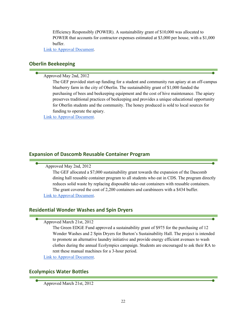Efficiency Responsibly (POWER). A sustainability grant of \$10,000 was allocated to POWER that accounts for contractor expenses estimated at \$3,000 per house, with a \$1,000 buffer.

Link to Approval Document.

## **Oberlin Beekeeping**

Approved May 2nd, 2012

The GEF provided start-up funding for a student and community run apiary at an off-campus blueberry farm in the city of Oberlin. The sustainability grant of \$1,000 funded the purchasing of bees and beekeeping equipment and the cost of hive maintenance. The apiary preserves traditional practices of beekeeping and provides a unique educational opportunity for Oberlin students and the community. The honey produced is sold to local sources for funding to operate the apiary.

Link to Approval Document.

## **Expansion of Dascomb Reusable Container Program**

## Approved May 2nd, 2012

The GEF allocated a \$7,000 sustainability grant towards the expansion of the Dascomb dining hall reusable container program to all students who eat in CDS. The program directly reduces solid waste by replacing disposable take-out containers with reusable containers. The grant covered the cost of 2,200 containers and carabineers with a \$434 buffer. Link to Approval Document.

## **Residential Wonder Washes and Spin Dryers**

## Approved March 21st, 2012

The Green EDGE Fund approved a sustainability grant of \$975 for the purchasing of 12 Wonder Washes and 2 Spin Dryers for Burton's Sustainability Hall. The project is intended to promote an alternative laundry initiative and provide energy efficient avenues to wash clothes during the annual Ecolympics campaign. Students are encouraged to ask their RA to rent these manual machines for a 3-hour period.

Link to Approval Document.

## **Ecolympics Water Bottles**

Approved March 21st, 2012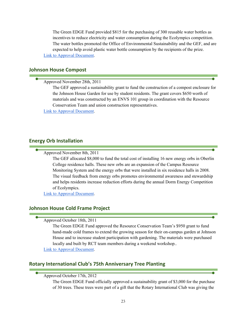The Green EDGE Fund provided \$815 for the purchasing of 300 reusable water bottles as incentives to reduce electricity and water consumption during the Ecolympics competition. The water bottles promoted the Office of Environmental Sustainability and the GEF, and are expected to help avoid plastic water bottle consumption by the recipients of the prize. Link to Approval Document.

## **Johnson House Compost**

Approved November 28th, 2011

The GEF approved a sustainability grant to fund the construction of a compost enclosure for the Johnson House Garden for use by student residents. The grant covers \$650 worth of materials and was constructed by an ENVS 101 group in coordination with the Resource Conservation Team and union construction representatives.

Link to Approval Document.

#### **Energy Orb Installation**

Approved November 8th, 2011

The GEF allocated \$8,000 to fund the total cost of installing 16 new energy orbs in Oberlin College residence halls. These new orbs are an expansion of the Campus Resource Monitoring System and the energy orbs that were installed in six residence halls in 2008. The visual feedback from energy orbs promotes environmental awareness and stewardship and helps residents increase reduction efforts during the annual Dorm Energy Competition of Ecolympics.

Link to Approval Document.

#### **Johnson House Cold Frame Project**

#### Approved October 18th, 2011

The Green EDGE Fund approved the Resource Conservation Team's \$950 grant to fund hand-made cold frames to extend the growing season for their on-campus garden at Johnson House and to increase student participation with gardening. The materials were purchased locally and built by RCT team members during a weekend workshop..

Link to Approval Document.

## **Rotary International Club's 75th Anniversary Tree Planting**

#### Approved October 17th, 2012

The Green EDGE Fund officially approved a sustainability grant of \$3,000 for the purchase of 30 trees. These trees were part of a gift that the Rotary International Club was giving the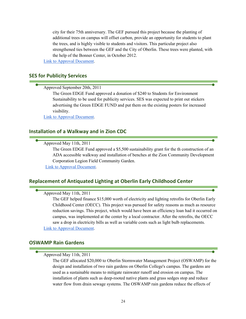city for their 75th anniversary. The GEF pursued this project because the planting of additional trees on campus will offset carbon, provide an opportunity for students to plant the trees, and is highly visible to students and visitors. This particular project also strengthened ties between the GEF and the City of Oberlin. These trees were planted, with the help of the Bonner Center, in October 2012.

Link to Approval Document.

## **SES for Publicity Services**

Approved September 20th, 2011

The Green EDGE Fund approved a donation of \$240 to Students for Environment Sustainability to be used for publicity services. SES was expected to print out stickers advertising the Green EDGE FUND and put them on the existing posters for increased visibility.

Link to Approval Document.

## **Installation of a Walkway and in Zion CDC**

Approved May 11th, 2011

The Green EDGE Fund approved a \$5,500 sustainability grant for the th construction of an ADA accessible walkway and installation of benches at the Zion Community Development Corporation Legion Field Community Garden.

Link to Approval Document.

## **Replacement of Antiquated Lighting at Oberlin Early Childhood Center**

## Approved May 11th, 2011

The GEF helped finance \$15,000 worth of electricity and lighting retrofits for Oberlin Early Childhood Center (OECC). This project was pursued for safety reasons as much as resource reduction savings. This project, which would have been an efficiency loan had it occurred on campus, was implemented at the center by a local contractor. After the retrofits, the OECC saw a drop in electricity bills as well as variable costs such as light bulb replacements. Link to Approval Document.

## **OSWAMP Rain Gardens**

Approved May 11th, 2011

The GEF allocated \$20,000 to Oberlin Stormwater Management Project (OSWAMP) for the design and installation of two rain gardens on Oberlin College's campus. The gardens are used as a sustainable means to mitigate rainwater runoff and erosion on campus. The installation of plants such as deep-rooted native plants and grass sedges stop and reduce water flow from drain sewage systems. The OSWAMP rain gardens reduce the effects of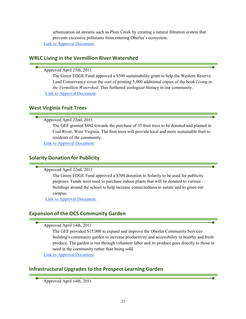urbanization on streams such as Plum Creek by creating a natural filtration system that prevents excessive pollutants from entering Oberlin's ecosystem. Link to Approval Document.

## **WRLC Living in the Vermillion River Watershed**

## Approved April 25th, 2011

The Green EDGE Fund approved a \$500 sustainability grant to help the Western Reserve Land Conservancy cover the cost of printing 5,000 additional copies of the book *Living in the Vermillion Watershed.* This furthered ecological literacy in our community. Link to Approval Document.

## **West Virginia Fruit Trees**

## Approved April 22nd, 2011

The GEF granted \$482 towards the purchase of 35 fruit trees to be donated and planted in Coal River, West Virginia. The fruit trees will provide local and more sustainable fruit to residents of the community.

Link to Approval Document.

## **Solarity Donation for Publicity**

Approved April 22nd, 2011

The Green EDGE Fund approved a \$500 donation to Solarity to be used for publicity purposes. Funds were used to purchase indoor plants that will be donated to various buildings around the school to help increase connectedness to nature and to green our campus.

Link to Approval Document.

## **Expansion of the OCS Community Garden**

Approved April 14th, 2011

The GEF provided \$15,000 to expand and improve the Oberlin Community Services building's community garden to increase productivity and accessibility to healthy and fresh produce. The garden is run through volunteer labor and its produce goes directly to those in need in the community rather than being sold.

Link to Approval Document.

## **Infrastructural Upgrades to the Prospect Learning Garden**

Approved April 14th, 2011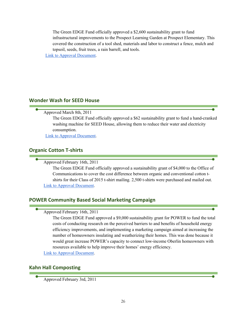The Green EDGE Fund officially approved a \$2,600 sustainability grant to fund infrastructural improvements to the Prospect Learning Garden at Prospect Elementary. This covered the construction of a tool shed, materials and labor to construct a fence, mulch and topsoil, seeds, fruit trees, a rain barrell, and tools.

Link to Approval Document.

## **Wonder Wash for SEED House**

## Approved March 8th, 2011

The Green EDGE Fund officially approved a \$62 sustainability grant to fund a hand-cranked washing machine for SEED House, allowing them to reduce their water and electricity consumption.

Link to Approval Document.

## **Organic Cotton T-shirts**

Approved February 16th, 2011

The Green EDGE Fund officially approved a sustainability grant of \$4,000 to the Office of Communications to cover the cost difference between organic and conventional cotton tshirts for their Class of 2015 t-shirt mailing. 2,500 t-shirts were purchased and mailed out. Link to Approval Document.

## **POWER Community Based Social Marketing Campaign**

| Approved February 16th, 2011 |  |  |
|------------------------------|--|--|
|------------------------------|--|--|

The Green EDGE Fund approved a \$9,000 sustainability grant for POWER to fund the total costs of conducting research on the perceived barriers to and benefits of household energy efficiency improvements, and implementing a marketing campaign aimed at increasing the number of homeowners insulating and weatherizing their homes. This was done because it would great increase POWER's capacity to connect low-income Oberlin homeowners with resources available to help improve their homes' energy efficiency.

Link to Approval Document.

## **Kahn Hall Composting**

Approved February 3rd, 2011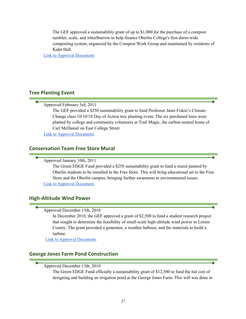The GEF approved a sustainability grant of up to \$1,000 for the purchase of a compost tumbler, scale, and wheelbarrow to help finance Oberlin College's first dorm-wide composting system, organized by the Compost Work Group and maintained by residents of Kahn Hall.

Link to Approval Document.

## **Tree Planting Event**

Approved February 3rd, 2011

The GEF provided a \$250 sustainability grant to fund Professor Janet Fiskio's Climate Change class 10/10/10 Day of Action tree planting event. The six purchased trees were planted by college and community volunteers at Trail Magic, the carbon neutral home of Carl McDaniel on East College Street.

Link to Approval Document.

## **Conservation Team Free Store Mural**

Approved January 10th, 2011

The Green EDGE Fund provided a \$250 sustainability grant to fund a mural painted by Oberlin students to be installed in the Free Store. This will bring educational art to the Free Store and the Oberlin campus, bringing further awareness to environmental issues. Link to Approval Document.

## **High-Altitude Wind Power**

Approved December 13th, 2010

In December 2010, the GEF approved a grant of \$2,500 to fund a student research project that sought to determine the feasibility of small-scale high-altitude wind power in Lorain County. The grant provided a generator, a weather balloon, and the materials to build a turbine.

Link to Approval Document.

## **George Jones Farm Pond Construction**

Approved December 13th, 2010

The Green EDGE Fund officially a sustainability grant of \$12,500 to fund the ttal cost of designing and building an irrigation pond at the George Jones Farm. This will was done in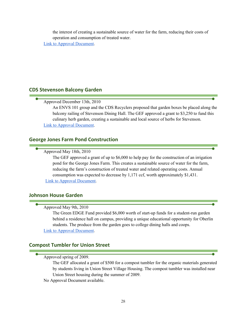the interest of creating a sustainable source of water for the farm, reducing their costs of operation and consumption of treated water. Link to Approval Document.

## **CDS Stevenson Balcony Garden**

Approved December 13th, 2010

An ENVS 101 group and the CDS Recyclers proposed that garden boxes be placed along the balcony railing of Stevenson Dining Hall. The GEF approved a grant to \$3,250 to fund this culinary herb garden, creating a sustainable and local source of herbs for Stevenson.

Link to Approval Document.

## **George Jones Farm Pond Construction**

## Approved May 18th, 2010

The GEF approved a grant of up to \$6,000 to help pay for the construction of an irrigation pond for the George Jones Farm. This creates a sustainable source of water for the farm, reducing the farm's construction of treated water and related operating costs. Annual consumption was expected to decrease by 1,171 ccf, worth approximately \$1,431. Link to Approval Document.

## **Johnson House Garden**

#### Approved May 9th, 2010

The Green EDGE Fund provided \$6,000 worth of start-up funds for a student-run garden behind a residence hall on campus, providing a unique educational opportunity for Oberlin students. The produce from the garden goes to college dining halls and coops. Link to Approval Document.

## **Compost Tumbler for Union Street**

#### Approved spring of 2009.

The GEF allocated a grant of \$500 for a compost tumbler for the organic materials generated by students living in Union Street Village Housing. The compost tumbler was installed near Union Street housing during the summer of 2009.

No Approval Document available.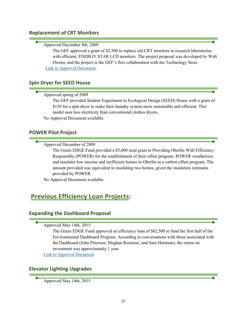## **Replacement of CRT Monitors**

#### Approved December 8th, 2009

The GEF approved a grant of \$2,500 to replace old CRT monitors in research laboratories with efficient, ENERGY STAR LCD monitors. The project proposal was developed by Walt Owens, and the project is the GEF's first collaboration with the Technology Store. Link to Approval Document.

## **Spin Dryer for SEED House**

## Approved spring of 2009

The GEF provided Student Experiment in Ecological Design (SEED) House with a grant of \$150 for a spin dryer to make their laundry system more sustainable and efficient. This model uses less electricity than conventional clothes dryers.

No Approval Document available.

## **POWER Pilot Project**

Approved December of 2008

The Green EDGE Fund provided a \$5,000 seed grant to Providing Oberlin With Efficiency Responsibly (POWER) for the establishment of their offset program. POWER weatherizes and insulates low-income and inefficient homes in Oberlin as a carbon offset program. The amount provided was equivalent to insulating two homes, given the insulation estimates provided by POWER.

No Approval Document available.

## **Previous Efficiency Loan Projects:**

## **Expanding the Dashboard Proposal**

#### Approved May 14th, 2015

The Green EDGE Fund approved an efficiency loan of \$62,500 to fund the first half of the Environmental Dashboard Program. According to conversations with those associated with the Dashboard (John Peterson, Meghan Riesterer, and Sam Hartman), the return on investment was approximately 1 year.

Link to Approval Document.

## **Elevator Lighting Upgrades**

Approved May 14th, 2015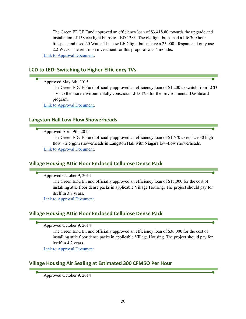The Green EDGE Fund approved an efficiency loan of \$3,418.80 towards the upgrade and installation of 138 cec light bulbs to LED 1383. The old light bulbs had a life 300 hour lifespan, and used 20 Watts. The new LED light bulbs have a 25,000 lifespan, and only use 2.2 Watts. The return on investment for this proposal was 4 months. Link to Approval Document.

## **LCD to LED: Switching to Higher-Efficiency TVs**

## Approved May 6th, 2015

The Green EDGE Fund officially approved an efficiency loan of \$1,200 to switch from LCD TVs to the more environmentally conscious LED TVs for the Environmental Dashboard program.

Link to Approval Document.

## **Langston Hall Low-Flow Showerheads**

## Approved April 9th, 2015

The Green EDGE Fund officially approved an efficiency loan of \$1,670 to replace 30 high flow  $\sim$  2.5 gpm showerheads in Langston Hall with Niagara low-flow showerheads. Link to Approval Document.

## **Village Housing Attic Floor Enclosed Cellulose Dense Pack**

Approved October 9, 2014

The Green EDGE Fund officially approved an efficiency loan of \$15,000 for the cost of installing attic floor dense packs in applicable Village Housing. The project should pay for itself in 3.7 years.

Link to Approval Document.

## **Village Housing Attic Floor Enclosed Cellulose Dense Pack**

Approved October 9, 2014

The Green EDGE Fund officially approved an efficiency loan of \$30,000 for the cost of installing attic floor dense packs in applicable Village Housing. The project should pay for itself in 4.2 years.

Link to Approval Document.

## **Village Housing Air Sealing at Estimated 300 CFM5O Per Hour**

Approved October 9, 2014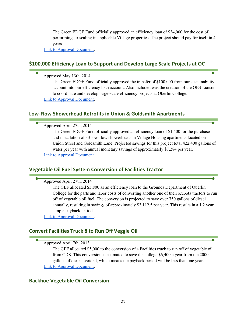The Green EDGE Fund officially approved an efficiency loan of \$34,000 for the cost of performing air sealing in applicable Village properties. The project should pay for itself in 4 years.

Link to Approval Document.

## **\$100,000 Efficiency Loan to Support and Develop Large Scale Projects at OC**

Approved May 13th, 2014

The Green EDGE Fund officially approved the transfer of \$100,000 from our sustainability account into our efficiency loan account. Also included was the creation of the OES Liaison to coordinate and develop large-scale efficiency projects at Oberlin College.

Link to Approval Document.

## **Low-Flow Showerhead Retrofits in Union & Goldsmith Apartments**

Approved April 27th, 2014

The Green EDGE Fund officially approved an efficiency loan of \$1,400 for the purchase and installation of 33 low-flow showerheads in Village Housing apartments located on Union Street and Goldsmith Lane. Projected savings for this project total 422,400 gallons of water per year with annual monetary savings of approximately \$7,284 per year. Link to Approval Document.

## **Vegetable Oil Fuel System Conversion of Facilities Tractor**

Approved April 27th, 2014

The GEF allocated \$3,800 as an efficiency loan to the Grounds Department of Oberlin College for the parts and labor costs of converting another one of their Kubota tractors to run off of vegetable oil fuel. The conversion is projected to save over 750 gallons of diesel annually, resulting in savings of approximately \$3,112.5 per year. This results in a 1.2 year simple payback period.

Link to Approval Document.

## **Convert Facilities Truck 8 to Run Off Veggie Oil**

#### Approved April 7th, 2013

The GEF allocated \$5,000 to the conversion of a Facilities truck to run off of vegetable oil from CDS. This conversion is estimated to save the college \$6,400 a year from the 2000 gallons of diesel avoided, which means the payback period will be less than one year. Link to Approval Document.

#### **Backhoe Vegetable Oil Conversion**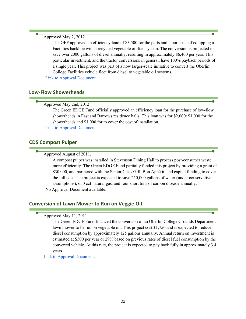#### Approved May 2, 2012

The GEF approved an efficiency loan of \$3,500 for the parts and labor costs of equipping a Facilities backhoe with a recycled vegetable oil fuel system. The conversion is projected to save over 2000 gallons of diesel annually, resulting in approximately \$6,400 per year. This particular investment, and the tractor conversions in general, have 100% payback periods of a single year. This project was part of a now larger-scale initiative to convert the Oberlin College Facilities vehicle fleet from diesel to vegetable oil systems.

Link to Approval Document.

## **Low-Flow Showerheads**

Approved May 2nd, 2012

The Green EDGE Fund officially approved an efficiency loan for the purchase of low-flow showerheads in East and Barrows residence halls. This loan was for \$2,000: \$1,000 for the showerheads and \$1,000 for to cover the cost of installation.

Link to Approval Document.

## **CDS Compost Pulper**

Approved August of 2011.

A compost pulper was installed in Stevenson Dining Hall to process post-consumer waste more efficiently. The Green EDGE Fund partially funded this project by providing a grant of \$30,000, and partnered with the Senior Class Gift, Bon Appétit, and capital funding to cover the full cost. The project is expected to save 250,000 gallons of water (under conservative assumptions), 650 ccf natural gas, and four short tons of carbon dioxide annually. No Approval Document available.

## **Conversion of Lawn Mower to Run on Veggie Oil**

#### Approved May 11, 2011

The Green EDGE Fund financed the conversion of an Oberlin College Grounds Department lawn mower to be run on vegetable oil. This project cost \$1,750 and is expected to reduce diesel consumption by approximately 125 gallons annually. Annual return on investment is estimated at \$500 per year or 29% based on previous rates of diesel fuel consumption by the converted vehicle. At this rate, the project is expected to pay back fully in approximately 3.4 years.

Link to Approval Document.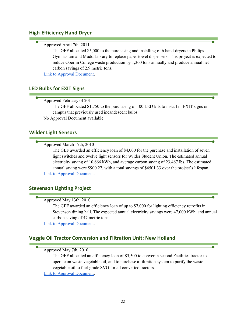## **High-Efficiency Hand Dryer**

## Approved April 7th, 2011

The GEF allocated \$5,000 to the purchasing and installing of 6 hand-dryers in Philips Gymnasium and Mudd Library to replace paper towel dispensers. This project is expected to reduce Oberlin College waste production by 1,300 tons annually and produce annual net carbon savings of 2.9 metric tons.

Link to Approval Document.

## **LED Bulbs for EXIT Signs**

## Approved February of 2011

The GEF allocated \$1,750 to the purchasing of 100 LED kits to install in EXIT signs on campus that previously used incandescent bulbs.

No Approval Document available.

## **Wilder Light Sensors**

## Approved March 17th, 2010

The GEF awarded an efficiency loan of \$4,000 for the purchase and installation of seven light switches and twelve light sensors for Wilder Student Union. The estimated annual electricity saving of 10,666 kWh, and average carbon saving of 23,467 lbs. The estimated annual saving were \$900.27, with a total savings of \$4501.33 over the project's lifespan. Link to Approval Document.

## **Stevenson Lighting Project**

## Approved May 13th, 2010

The GEF awarded an efficiency loan of up to \$7,000 for lighting efficiency retrofits in Stevenson dining hall. The expected annual electricity savings were 47,000 kWh, and annual carbon saving of 47 metric tons.

Link to Approval Document.

## **Veggie Oil Tractor Conversion and Filtration Unit: New Holland**

Approved May 7th, 2010

The GEF allocated an efficiency loan of \$5,500 to convert a second Facilities tractor to operate on waste vegetable oil, and to purchase a filtration system to purify the waste vegetable oil to fuel-grade SVO for all converted tractors.

Link to Approval Document.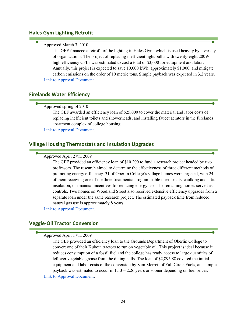## **Hales Gym Lighting Retrofit**

## Approved March 3, 2010

The GEF financed a retrofit of the lighting in Hales Gym, which is used heavily by a variety of organizations. The project of replacing inefficient light bulbs with twenty-eight 200W high efficiency CFLs was estimated to cost a total of \$3,000 for equipment and labor. Annually, this project is expected to save 10,000 kWh, approximately \$1,000, and mitigate carbon emissions on the order of 10 metric tons. Simple payback was expected in 3.2 years. Link to Approval Document.

## **Firelands Water Efficiency**

## Approved spring of 2010

The GEF awarded an efficiency loan of \$25,000 to cover the material and labor costs of replacing inefficient toilets and showerheads, and installing faucet aerators in the Firelands apartment complex of college housing.

Link to Approval Document.

## **Village Housing Thermostats and Insulation Upgrades**

#### Approved April 27th, 2009

The GEF provided an efficiency loan of \$10,200 to fund a research project headed by two professors. The research aimed to determine the effectiveness of three different methods of promoting energy efficiency. 31 of Oberlin College's village homes were targeted, with 24 of them receiving one of the three treatments: programmable thermostats, caulking and attic insulation, or financial incentives for reducing energy use. The remaining homes served as controls. Two homes on Woodland Street also received extensive efficiency upgrades from a separate loan under the same research project. The estimated payback time from reduced natural gas use is approximately 8 years.

Link to Approval Document.

## **Veggie-Oil Tractor Conversion**

## Approved April 17th, 2009

The GEF provided an efficiency loan to the Grounds Department of Oberlin College to convert one of their Kubota tractors to run on vegetable oil. This project is ideal because it reduces consumption of a fossil fuel and the college has ready access to large quantities of leftover vegetable grease from the dining halls. The loan of \$2,895.88 covered the initial equipment and labor costs of the conversion by Sam Merrett of Full Circle Fuels, and simple payback was estimated to occur in  $1.13 - 2.26$  years or sooner depending on fuel prices. Link to Approval Document.